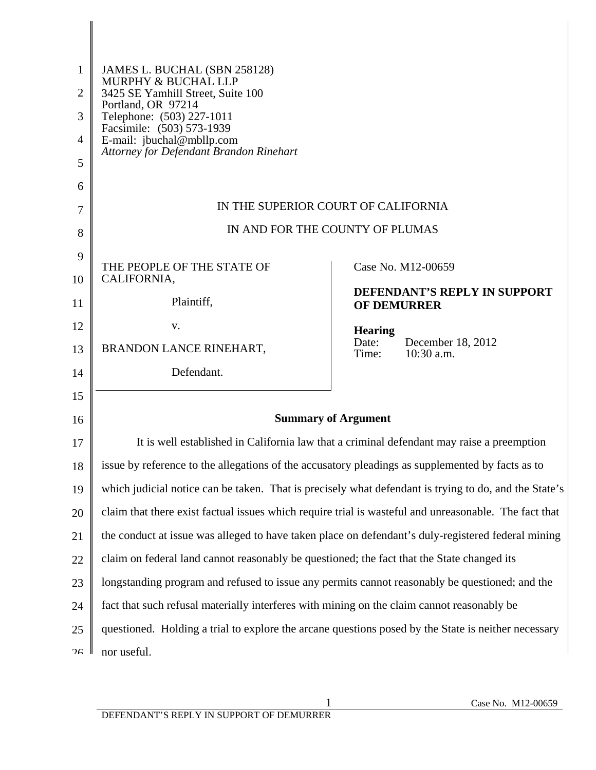| 1<br>$\overline{2}$<br>3<br>4<br>5 | JAMES L. BUCHAL (SBN 258128)<br>MURPHY & BUCHAL LLP<br>3425 SE Yamhill Street, Suite 100<br>Portland, OR 97214<br>Telephone: (503) 227-1011<br>Facsimile: (503) 573-1939<br>E-mail: jbuchal@mbllp.com<br>Attorney for Defendant Brandon Rinehart |                                                                                                       |
|------------------------------------|--------------------------------------------------------------------------------------------------------------------------------------------------------------------------------------------------------------------------------------------------|-------------------------------------------------------------------------------------------------------|
| 6                                  |                                                                                                                                                                                                                                                  | IN THE SUPERIOR COURT OF CALIFORNIA                                                                   |
| 7                                  |                                                                                                                                                                                                                                                  |                                                                                                       |
| 8                                  |                                                                                                                                                                                                                                                  | IN AND FOR THE COUNTY OF PLUMAS                                                                       |
| 9                                  | THE PEOPLE OF THE STATE OF                                                                                                                                                                                                                       | Case No. M12-00659                                                                                    |
| 10                                 | CALIFORNIA,                                                                                                                                                                                                                                      | <b>DEFENDANT'S REPLY IN SUPPORT</b>                                                                   |
| 11                                 | Plaintiff,                                                                                                                                                                                                                                       | <b>OF DEMURRER</b>                                                                                    |
| 12                                 | V.                                                                                                                                                                                                                                               | <b>Hearing</b>                                                                                        |
| 13                                 | BRANDON LANCE RINEHART,                                                                                                                                                                                                                          | Date:<br>December 18, 2012<br>$10:30$ a.m.<br>Time:                                                   |
| 14                                 | Defendant.                                                                                                                                                                                                                                       |                                                                                                       |
| 15                                 |                                                                                                                                                                                                                                                  |                                                                                                       |
| 16                                 |                                                                                                                                                                                                                                                  | <b>Summary of Argument</b>                                                                            |
| 17                                 |                                                                                                                                                                                                                                                  | It is well established in California law that a criminal defendant may raise a preemption             |
| 18                                 | issue by reference to the allegations of the accusatory pleadings as supplemented by facts as to                                                                                                                                                 |                                                                                                       |
| 19                                 |                                                                                                                                                                                                                                                  | which judicial notice can be taken. That is precisely what defendant is trying to do, and the State's |
| 20                                 | claim that there exist factual issues which require trial is wasteful and unreasonable. The fact that                                                                                                                                            |                                                                                                       |
| 21                                 |                                                                                                                                                                                                                                                  | the conduct at issue was alleged to have taken place on defendant's duly-registered federal mining    |
| 22                                 | claim on federal land cannot reasonably be questioned; the fact that the State changed its                                                                                                                                                       |                                                                                                       |
| 23                                 | longstanding program and refused to issue any permits cannot reasonably be questioned; and the                                                                                                                                                   |                                                                                                       |
| 24                                 | fact that such refusal materially interferes with mining on the claim cannot reasonably be                                                                                                                                                       |                                                                                                       |
| 25                                 | questioned. Holding a trial to explore the arcane questions posed by the State is neither necessary                                                                                                                                              |                                                                                                       |
| ንհ                                 | nor useful.                                                                                                                                                                                                                                      |                                                                                                       |
|                                    |                                                                                                                                                                                                                                                  |                                                                                                       |

║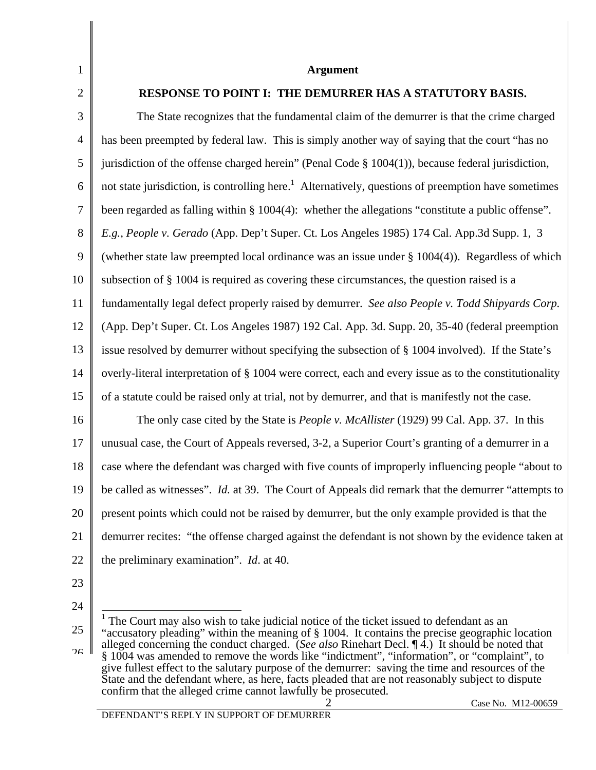| $\mathbf{1}$   | <b>Argument</b>                                                                                                 |
|----------------|-----------------------------------------------------------------------------------------------------------------|
| $\overline{2}$ | <b>RESPONSE TO POINT I: THE DEMURRER HAS A STATUTORY BASIS.</b>                                                 |
| 3              | The State recognizes that the fundamental claim of the demurrer is that the crime charged                       |
| $\overline{4}$ | has been preempted by federal law. This is simply another way of saying that the court "has no                  |
| 5              | jurisdiction of the offense charged herein" (Penal Code $\S$ 1004(1)), because federal jurisdiction,            |
| 6              | not state jurisdiction, is controlling here. <sup>1</sup> Alternatively, questions of preemption have sometimes |
| 7              | been regarded as falling within § 1004(4): whether the allegations "constitute a public offense".               |
| 8              | E.g., People v. Gerado (App. Dep't Super. Ct. Los Angeles 1985) 174 Cal. App.3d Supp. 1, 3                      |
| 9              | (whether state law preempted local ordinance was an issue under $\S 1004(4)$ ). Regardless of which             |
| 10             | subsection of § 1004 is required as covering these circumstances, the question raised is a                      |
| 11             | fundamentally legal defect properly raised by demurrer. See also People v. Todd Shipyards Corp.                 |
| 12             | (App. Dep't Super. Ct. Los Angeles 1987) 192 Cal. App. 3d. Supp. 20, 35-40 (federal preemption                  |
| 13             | issue resolved by demurrer without specifying the subsection of § 1004 involved). If the State's                |
| 14             | overly-literal interpretation of § 1004 were correct, each and every issue as to the constitutionality          |
| 15             | of a statute could be raised only at trial, not by demurrer, and that is manifestly not the case.               |
| 16             | The only case cited by the State is <i>People v. McAllister</i> (1929) 99 Cal. App. 37. In this                 |
| 17             | unusual case, the Court of Appeals reversed, 3-2, a Superior Court's granting of a demurrer in a                |
| 18             | case where the defendant was charged with five counts of improperly influencing people "about to"               |
| 19             | be called as witnesses". Id. at 39. The Court of Appeals did remark that the demurrer "attempts to              |
| 20             | present points which could not be raised by demurrer, but the only example provided is that the                 |
| 21             | demurrer recites: "the offense charged against the defendant is not shown by the evidence taken at              |
| 22             | the preliminary examination". <i>Id.</i> at 40.                                                                 |
| 23             |                                                                                                                 |

- 24
- 25

<sup>&</sup>lt;sup>1</sup> The Court may also wish to take judicial notice of the ticket issued to defendant as an "accusatory pleading" within the meaning of § 1004. It contains the precise geographic location

 $26$ alleged concerning the conduct charged. (*See also* Rinehart Decl. ¶ 4.) It should be noted that § 1004 was amended to remove the words like "indictment", "information", or "complaint", to give fullest effect to the salutary purpose of the demurrer: saving the time and resources of the State and the defendant where, as here, facts pleaded that are not reasonably subject to dispute confirm that the alleged crime cannot lawfully be prosecuted.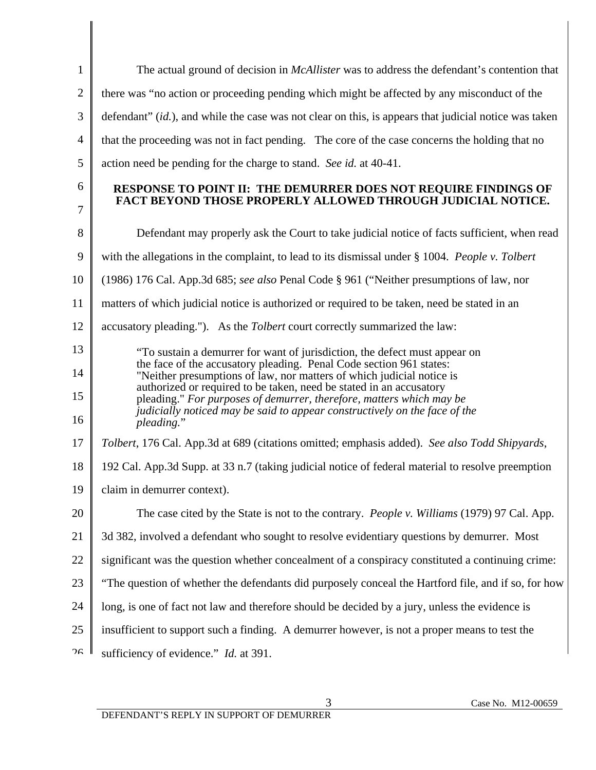| $\mathbf{1}$   | The actual ground of decision in <i>McAllister</i> was to address the defendant's contention that                                                                                                                   |
|----------------|---------------------------------------------------------------------------------------------------------------------------------------------------------------------------------------------------------------------|
| $\overline{2}$ | there was "no action or proceeding pending which might be affected by any misconduct of the                                                                                                                         |
| 3              | defendant" (id.), and while the case was not clear on this, is appears that judicial notice was taken                                                                                                               |
| $\overline{4}$ | that the proceeding was not in fact pending. The core of the case concerns the holding that no                                                                                                                      |
| 5              | action need be pending for the charge to stand. See id. at 40-41.                                                                                                                                                   |
| 6<br>7         | RESPONSE TO POINT II: THE DEMURRER DOES NOT REQUIRE FINDINGS OF<br>FACT BEYOND THOSE PROPERLY ALLOWED THROUGH JUDICIAL NOTICE.                                                                                      |
| 8              | Defendant may properly ask the Court to take judicial notice of facts sufficient, when read                                                                                                                         |
| 9              | with the allegations in the complaint, to lead to its dismissal under § 1004. People v. Tolbert                                                                                                                     |
| 10             | (1986) 176 Cal. App.3d 685; see also Penal Code § 961 ("Neither presumptions of law, nor                                                                                                                            |
| 11             | matters of which judicial notice is authorized or required to be taken, need be stated in an                                                                                                                        |
| 12             | accusatory pleading."). As the <i>Tolbert</i> court correctly summarized the law:                                                                                                                                   |
| 13             | "To sustain a demurrer for want of jurisdiction, the defect must appear on                                                                                                                                          |
| 14             | the face of the accusatory pleading. Penal Code section 961 states:<br>"Neither presumptions of law, nor matters of which judicial notice is<br>authorized or required to be taken, need be stated in an accusatory |
| 15             | pleading." For purposes of demurrer, therefore, matters which may be<br>judicially noticed may be said to appear constructively on the face of the                                                                  |
| 16             | pleading."                                                                                                                                                                                                          |
| 17             | Tolbert, 176 Cal. App.3d at 689 (citations omitted; emphasis added). See also Todd Shipyards,                                                                                                                       |
| 18             | 192 Cal. App.3d Supp. at 33 n.7 (taking judicial notice of federal material to resolve preemption                                                                                                                   |
|                | 19   claim in demurrer context).                                                                                                                                                                                    |
| 20             | The case cited by the State is not to the contrary. <i>People v. Williams</i> (1979) 97 Cal. App.                                                                                                                   |
| 21             | 3d 382, involved a defendant who sought to resolve evidentiary questions by demurrer. Most                                                                                                                          |
| 22             | significant was the question whether concealment of a conspiracy constituted a continuing crime:                                                                                                                    |
| 23             | "The question of whether the defendants did purposely conceal the Hartford file, and if so, for how                                                                                                                 |
| 24             | long, is one of fact not law and therefore should be decided by a jury, unless the evidence is                                                                                                                      |
| 25             | insufficient to support such a finding. A demurrer however, is not a proper means to test the                                                                                                                       |
| ገና             | sufficiency of evidence." Id. at 391.                                                                                                                                                                               |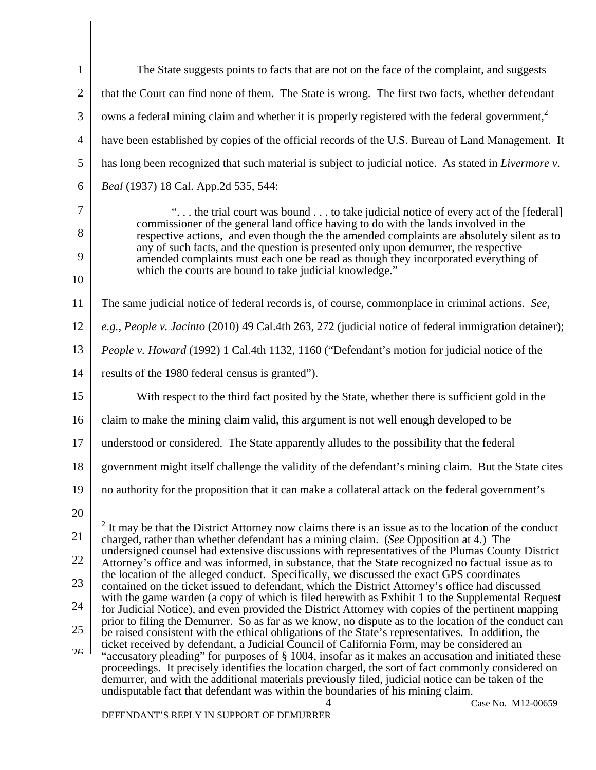| $\mathbf{1}$   | The State suggests points to facts that are not on the face of the complaint, and suggests                                                                                                                 |
|----------------|------------------------------------------------------------------------------------------------------------------------------------------------------------------------------------------------------------|
| $\overline{2}$ | that the Court can find none of them. The State is wrong. The first two facts, whether defendant                                                                                                           |
| 3              | owns a federal mining claim and whether it is properly registered with the federal government, <sup>2</sup>                                                                                                |
| $\overline{4}$ | have been established by copies of the official records of the U.S. Bureau of Land Management. It                                                                                                          |
| 5              | has long been recognized that such material is subject to judicial notice. As stated in <i>Livermore v</i> .                                                                                               |
| 6              | Beal (1937) 18 Cal. App.2d 535, 544:                                                                                                                                                                       |
| 7              | " the trial court was bound  to take judicial notice of every act of the [federal]                                                                                                                         |
| 8              | commissioner of the general land office having to do with the lands involved in the<br>respective actions, and even though the the amended complaints are absolutely silent as to                          |
| 9              | any of such facts, and the question is presented only upon demurrer, the respective<br>amended complaints must each one be read as though they incorporated everything of                                  |
| 10             | which the courts are bound to take judicial knowledge."                                                                                                                                                    |
| 11             | The same judicial notice of federal records is, of course, commonplace in criminal actions. See,                                                                                                           |
| 12             | e.g., People v. Jacinto (2010) 49 Cal.4th 263, 272 (judicial notice of federal immigration detainer);                                                                                                      |
| 13             | <i>People v. Howard</i> (1992) 1 Cal.4th 1132, 1160 ("Defendant's motion for judicial notice of the                                                                                                        |
| 14             | results of the 1980 federal census is granted").                                                                                                                                                           |
| 15             | With respect to the third fact posited by the State, whether there is sufficient gold in the                                                                                                               |
| 16             | claim to make the mining claim valid, this argument is not well enough developed to be                                                                                                                     |
| 17             | understood or considered. The State apparently alludes to the possibility that the federal                                                                                                                 |
| 18             | government might itself challenge the validity of the defendant's mining claim. But the State cites                                                                                                        |
| 19             | no authority for the proposition that it can make a collateral attack on the federal government's                                                                                                          |
| 20             |                                                                                                                                                                                                            |
| 21             | $2$ It may be that the District Attorney now claims there is an issue as to the location of the conduct<br>charged, rather than whether defendant has a mining claim. (See Opposition at 4.) The           |
| 22             | undersigned counsel had extensive discussions with representatives of the Plumas County District<br>Attorney's office and was informed, in substance, that the State recognized no factual issue as to     |
| 23             | the location of the alleged conduct. Specifically, we discussed the exact GPS coordinates<br>contained on the ticket issued to defendant, which the District Attorney's office had discussed               |
| 24             | with the game warden (a copy of which is filed herewith as Exhibit 1 to the Supplemental Request<br>for Judicial Notice), and even provided the District Attorney with copies of the pertinent mapping     |
| 25             | prior to filing the Demurrer. So as far as we know, no dispute as to the location of the conduct can<br>be raised consistent with the ethical obligations of the State's representatives. In addition, the |
| 26             | ticket received by defendant, a Judicial Council of California Form, may be considered an<br>"accusatory pleading" for purposes of § 1004, insofar as it makes an accusation and initiated these           |
|                | proceedings. It precisely identifies the location charged, the sort of fact commonly considered on                                                                                                         |
|                | demurrer, and with the additional materials previously filed, judicial notice can be taken of the<br>undisputable fact that defendant was within the boundaries of his mining claim.                       |
|                | Case No. M12-00659<br>4                                                                                                                                                                                    |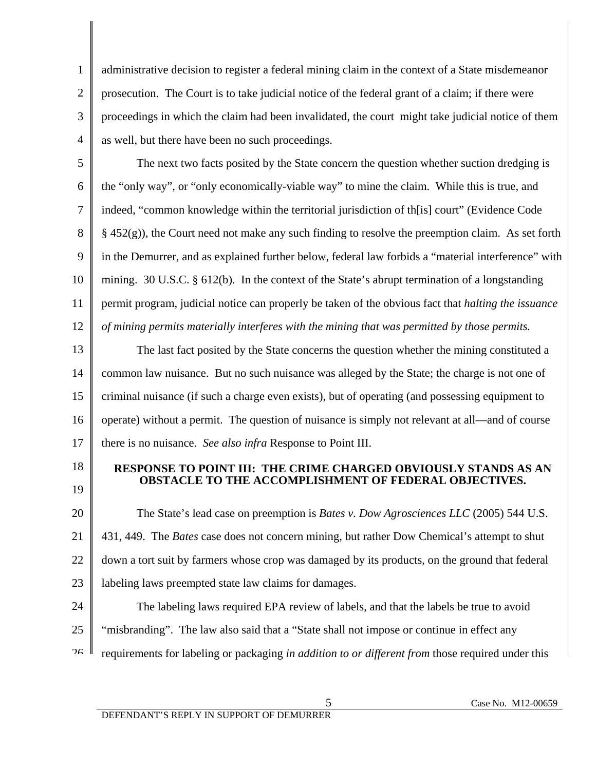3 4 administrative decision to register a federal mining claim in the context of a State misdemeanor prosecution. The Court is to take judicial notice of the federal grant of a claim; if there were proceedings in which the claim had been invalidated, the court might take judicial notice of them as well, but there have been no such proceedings.

5 6 7 8 9 10 11 12 The next two facts posited by the State concern the question whether suction dredging is the "only way", or "only economically-viable way" to mine the claim. While this is true, and indeed, "common knowledge within the territorial jurisdiction of th[is] court" (Evidence Code § 452(g)), the Court need not make any such finding to resolve the preemption claim. As set forth in the Demurrer, and as explained further below, federal law forbids a "material interference" with mining. 30 U.S.C. § 612(b). In the context of the State's abrupt termination of a longstanding permit program, judicial notice can properly be taken of the obvious fact that *halting the issuance of mining permits materially interferes with the mining that was permitted by those permits.*

13 14 15 16 17 The last fact posited by the State concerns the question whether the mining constituted a common law nuisance. But no such nuisance was alleged by the State; the charge is not one of criminal nuisance (if such a charge even exists), but of operating (and possessing equipment to operate) without a permit. The question of nuisance is simply not relevant at all—and of course there is no nuisance. *See also infra* Response to Point III.

18

1

2

19

## **RESPONSE TO POINT III: THE CRIME CHARGED OBVIOUSLY STANDS AS AN OBSTACLE TO THE ACCOMPLISHMENT OF FEDERAL OBJECTIVES.**

20 21 22 23 The State's lead case on preemption is *Bates v. Dow Agrosciences LLC* (2005) 544 U.S. 431, 449. The *Bates* case does not concern mining, but rather Dow Chemical's attempt to shut down a tort suit by farmers whose crop was damaged by its products, on the ground that federal labeling laws preempted state law claims for damages.

24 25  $26$  The labeling laws required EPA review of labels, and that the labels be true to avoid "misbranding". The law also said that a "State shall not impose or continue in effect any requirements for labeling or packaging *in addition to or different from* those required under this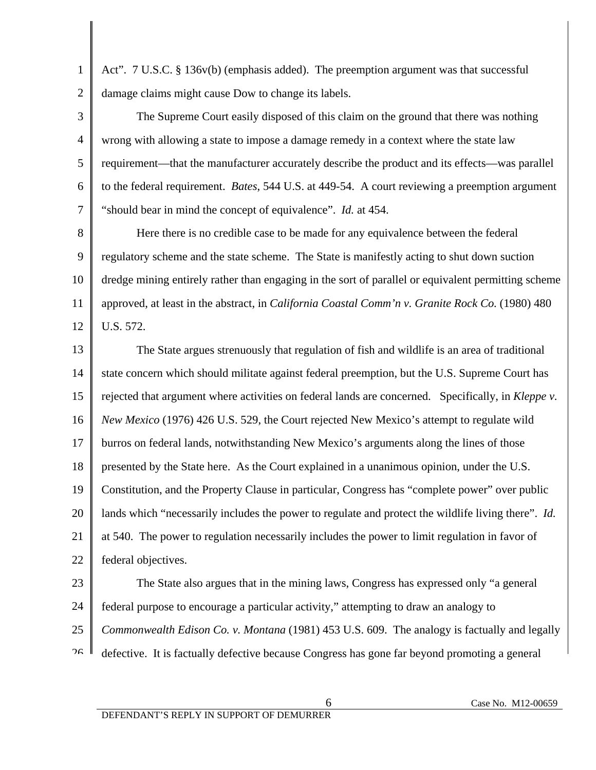1 2 Act". 7 U.S.C. § 136v(b) (emphasis added). The preemption argument was that successful damage claims might cause Dow to change its labels.

3 4 5 6 7 The Supreme Court easily disposed of this claim on the ground that there was nothing wrong with allowing a state to impose a damage remedy in a context where the state law requirement—that the manufacturer accurately describe the product and its effects—was parallel to the federal requirement. *Bates*, 544 U.S. at 449-54. A court reviewing a preemption argument "should bear in mind the concept of equivalence". *Id.* at 454.

8 9 10 11 12 Here there is no credible case to be made for any equivalence between the federal regulatory scheme and the state scheme. The State is manifestly acting to shut down suction dredge mining entirely rather than engaging in the sort of parallel or equivalent permitting scheme approved, at least in the abstract, in *California Coastal Comm'n v. Granite Rock Co.* (1980) 480 U.S. 572.

13 14 15 16 17 18 19 20 21 22 The State argues strenuously that regulation of fish and wildlife is an area of traditional state concern which should militate against federal preemption, but the U.S. Supreme Court has rejected that argument where activities on federal lands are concerned. Specifically, in *Kleppe v. New Mexico* (1976) 426 U.S. 529, the Court rejected New Mexico's attempt to regulate wild burros on federal lands, notwithstanding New Mexico's arguments along the lines of those presented by the State here. As the Court explained in a unanimous opinion, under the U.S. Constitution, and the Property Clause in particular, Congress has "complete power" over public lands which "necessarily includes the power to regulate and protect the wildlife living there". *Id.* at 540. The power to regulation necessarily includes the power to limit regulation in favor of federal objectives.

23

24 25  $26$  The State also argues that in the mining laws, Congress has expressed only "a general federal purpose to encourage a particular activity," attempting to draw an analogy to *Commonwealth Edison Co. v. Montana* (1981) 453 U.S. 609. The analogy is factually and legally defective. It is factually defective because Congress has gone far beyond promoting a general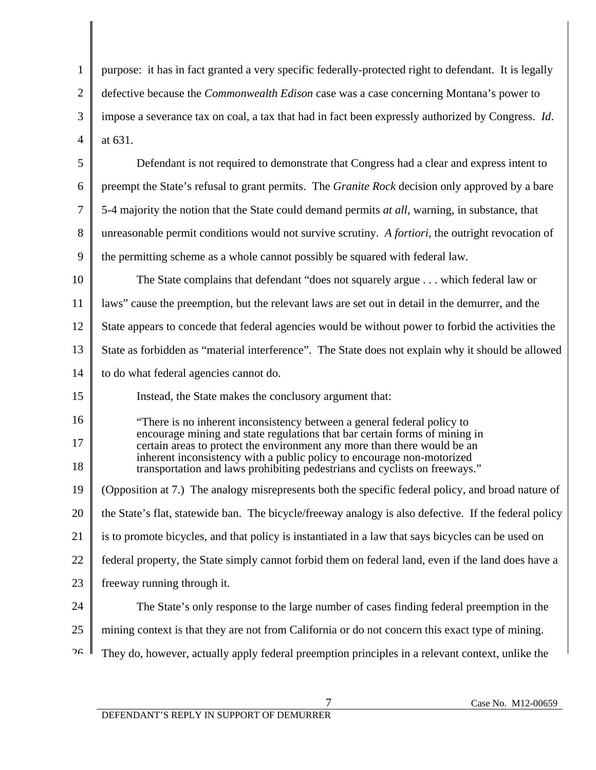1 2 3 4 purpose: it has in fact granted a very specific federally-protected right to defendant. It is legally defective because the *Commonwealth Edison* case was a case concerning Montana's power to impose a severance tax on coal, a tax that had in fact been expressly authorized by Congress. *Id*. at 631.

5 6 7 8 9 Defendant is not required to demonstrate that Congress had a clear and express intent to preempt the State's refusal to grant permits. The *Granite Rock* decision only approved by a bare 5-4 majority the notion that the State could demand permits *at all*, warning, in substance, that unreasonable permit conditions would not survive scrutiny. *A fortiori*, the outright revocation of the permitting scheme as a whole cannot possibly be squared with federal law.

10 11 12 13 14 The State complains that defendant "does not squarely argue . . . which federal law or laws" cause the preemption, but the relevant laws are set out in detail in the demurrer, and the State appears to concede that federal agencies would be without power to forbid the activities the State as forbidden as "material interference". The State does not explain why it should be allowed to do what federal agencies cannot do.

15 Instead, the State makes the conclusory argument that:

16

17

18

"There is no inherent inconsistency between a general federal policy to encourage mining and state regulations that bar certain forms of mining in certain areas to protect the environment any more than there would be an inherent inconsistency with a public policy to encourage non-motorized transportation and laws prohibiting pedestrians and cyclists on freeways."

19 20 21 22 23 (Opposition at 7.) The analogy misrepresents both the specific federal policy, and broad nature of the State's flat, statewide ban. The bicycle/freeway analogy is also defective. If the federal policy is to promote bicycles, and that policy is instantiated in a law that says bicycles can be used on federal property, the State simply cannot forbid them on federal land, even if the land does have a freeway running through it.

- 24 The State's only response to the large number of cases finding federal preemption in the
- 25 mining context is that they are not from California or do not concern this exact type of mining.
- $26$ They do, however, actually apply federal preemption principles in a relevant context, unlike the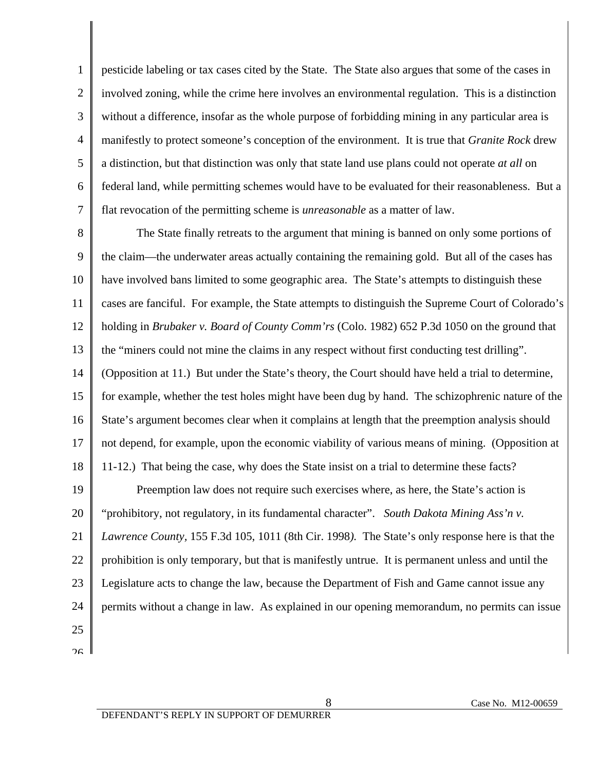1 2 3 4 5 6 7 pesticide labeling or tax cases cited by the State. The State also argues that some of the cases in involved zoning, while the crime here involves an environmental regulation. This is a distinction without a difference, insofar as the whole purpose of forbidding mining in any particular area is manifestly to protect someone's conception of the environment. It is true that *Granite Rock* drew a distinction, but that distinction was only that state land use plans could not operate *at all* on federal land, while permitting schemes would have to be evaluated for their reasonableness. But a flat revocation of the permitting scheme is *unreasonable* as a matter of law.

8 9 10 11 12 13 14 15 16 17 18 19 20 21 22 23 24 The State finally retreats to the argument that mining is banned on only some portions of the claim—the underwater areas actually containing the remaining gold. But all of the cases has have involved bans limited to some geographic area. The State's attempts to distinguish these cases are fanciful. For example, the State attempts to distinguish the Supreme Court of Colorado's holding in *Brubaker v. Board of County Comm'rs* (Colo. 1982) 652 P.3d 1050 on the ground that the "miners could not mine the claims in any respect without first conducting test drilling". (Opposition at 11.) But under the State's theory, the Court should have held a trial to determine, for example, whether the test holes might have been dug by hand. The schizophrenic nature of the State's argument becomes clear when it complains at length that the preemption analysis should not depend, for example, upon the economic viability of various means of mining. (Opposition at 11-12.) That being the case, why does the State insist on a trial to determine these facts? Preemption law does not require such exercises where, as here, the State's action is "prohibitory, not regulatory, in its fundamental character". *South Dakota Mining Ass'n v. Lawrence County,* 155 F.3d 105, 1011 (8th Cir. 1998*).* The State's only response here is that the prohibition is only temporary, but that is manifestly untrue. It is permanent unless and until the Legislature acts to change the law, because the Department of Fish and Game cannot issue any permits without a change in law. As explained in our opening memorandum, no permits can issue

25  $26$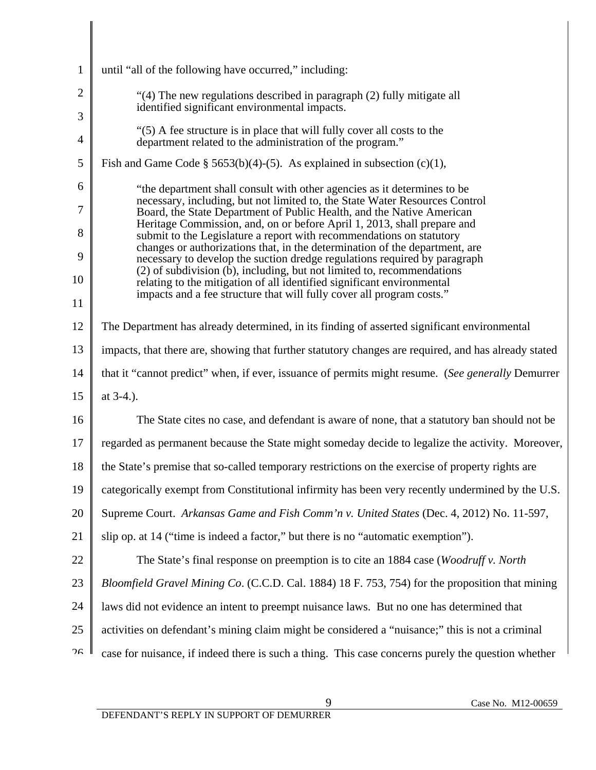| $\mathbf{1}$          | until "all of the following have occurred," including:                                                                                                   |  |
|-----------------------|----------------------------------------------------------------------------------------------------------------------------------------------------------|--|
| $\overline{2}$        | "(4) The new regulations described in paragraph (2) fully mitigate all                                                                                   |  |
| 3                     | identified significant environmental impacts.                                                                                                            |  |
| $\overline{4}$        | "(5) A fee structure is in place that will fully cover all costs to the<br>department related to the administration of the program."                     |  |
| 5                     | Fish and Game Code $\S$ 5653(b)(4)-(5). As explained in subsection (c)(1),                                                                               |  |
| 6                     | "the department shall consult with other agencies as it determines to be                                                                                 |  |
| $\overline{7}$        | necessary, including, but not limited to, the State Water Resources Control<br>Board, the State Department of Public Health, and the Native American     |  |
| 8                     | Heritage Commission, and, on or before April 1, 2013, shall prepare and<br>submit to the Legislature a report with recommendations on statutory          |  |
| 9                     | changes or authorizations that, in the determination of the department, are<br>necessary to develop the suction dredge regulations required by paragraph |  |
| 10                    | (2) of subdivision (b), including, but not limited to, recommendations<br>relating to the mitigation of all identified significant environmental         |  |
| 11                    | impacts and a fee structure that will fully cover all program costs."                                                                                    |  |
| 12                    | The Department has already determined, in its finding of asserted significant environmental                                                              |  |
| 13                    | impacts, that there are, showing that further statutory changes are required, and has already stated                                                     |  |
| 14                    | that it "cannot predict" when, if ever, issuance of permits might resume. (See generally Demurrer                                                        |  |
| 15                    | at 3-4.).                                                                                                                                                |  |
| 16                    | The State cites no case, and defendant is aware of none, that a statutory ban should not be                                                              |  |
| 17                    | regarded as permanent because the State might someday decide to legalize the activity. Moreover,                                                         |  |
| 18                    | the State's premise that so-called temporary restrictions on the exercise of property rights are                                                         |  |
| 19                    | categorically exempt from Constitutional infirmity has been very recently undermined by the U.S.                                                         |  |
| 20                    | Supreme Court. Arkansas Game and Fish Comm'n v. United States (Dec. 4, 2012) No. 11-597,                                                                 |  |
| 21                    | slip op. at 14 ("time is indeed a factor," but there is no "automatic exemption").                                                                       |  |
| 22                    | The State's final response on preemption is to cite an 1884 case (Woodruff v. North                                                                      |  |
| 23                    | Bloomfield Gravel Mining Co. (C.C.D. Cal. 1884) 18 F. 753, 754) for the proposition that mining                                                          |  |
| 24                    | laws did not evidence an intent to preempt nuisance laws. But no one has determined that                                                                 |  |
| 25                    | activities on defendant's mining claim might be considered a "nuisance;" this is not a criminal                                                          |  |
| $\gamma_{\mathsf{G}}$ | case for nuisance, if indeed there is such a thing. This case concerns purely the question whether                                                       |  |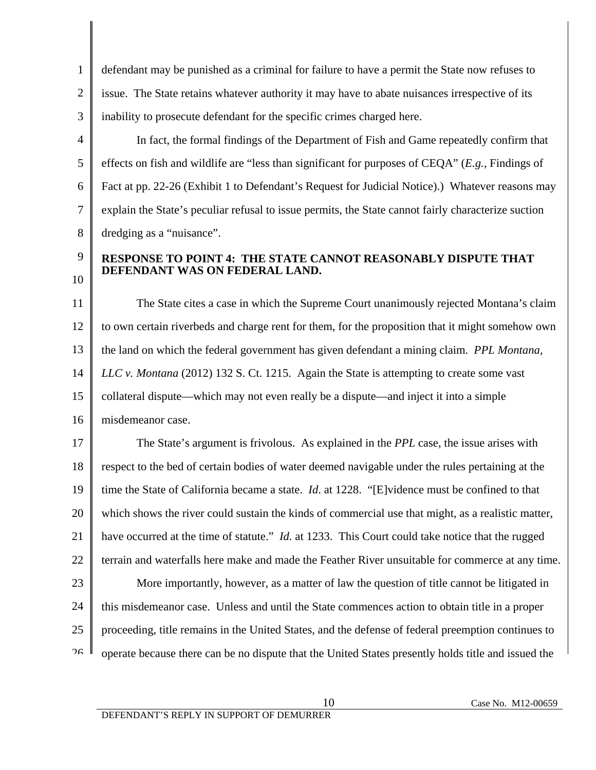1 2 3 defendant may be punished as a criminal for failure to have a permit the State now refuses to issue. The State retains whatever authority it may have to abate nuisances irrespective of its inability to prosecute defendant for the specific crimes charged here.

4 5 6 7 8 In fact, the formal findings of the Department of Fish and Game repeatedly confirm that effects on fish and wildlife are "less than significant for purposes of CEQA" (*E.g.,* Findings of Fact at pp. 22-26 (Exhibit 1 to Defendant's Request for Judicial Notice).) Whatever reasons may explain the State's peculiar refusal to issue permits, the State cannot fairly characterize suction dredging as a "nuisance".

## **RESPONSE TO POINT 4: THE STATE CANNOT REASONABLY DISPUTE THAT DEFENDANT WAS ON FEDERAL LAND.**

11 12 13 14 15 16 The State cites a case in which the Supreme Court unanimously rejected Montana's claim to own certain riverbeds and charge rent for them, for the proposition that it might somehow own the land on which the federal government has given defendant a mining claim. *PPL Montana, LLC v. Montana* (2012) 132 S. Ct. 1215. Again the State is attempting to create some vast collateral dispute—which may not even really be a dispute—and inject it into a simple misdemeanor case.

17 18 19 20 21 22 23 24 25  $26$  The State's argument is frivolous. As explained in the *PPL* case, the issue arises with respect to the bed of certain bodies of water deemed navigable under the rules pertaining at the time the State of California became a state. *Id*. at 1228. "[E]vidence must be confined to that which shows the river could sustain the kinds of commercial use that might, as a realistic matter, have occurred at the time of statute." *Id.* at 1233. This Court could take notice that the rugged terrain and waterfalls here make and made the Feather River unsuitable for commerce at any time. More importantly, however, as a matter of law the question of title cannot be litigated in this misdemeanor case. Unless and until the State commences action to obtain title in a proper proceeding, title remains in the United States, and the defense of federal preemption continues to operate because there can be no dispute that the United States presently holds title and issued the

9

10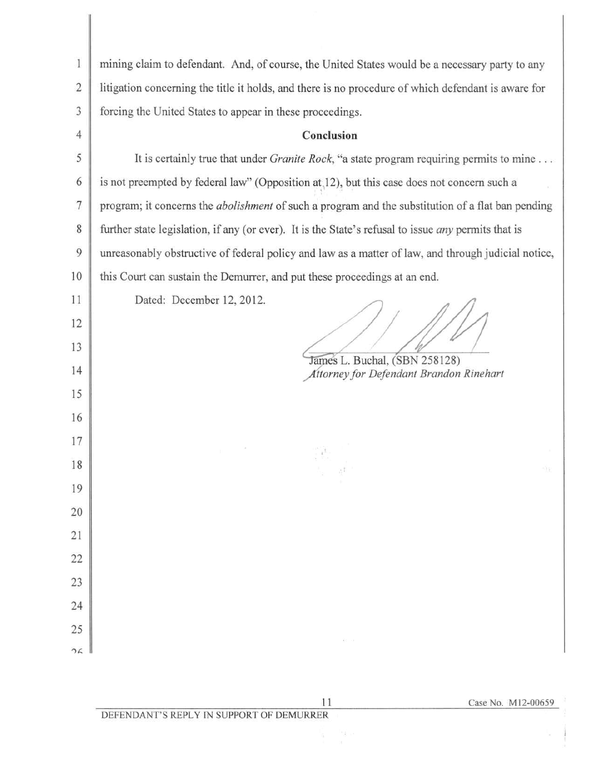| $\mathbf{1}$   | mining claim to defendant. And, of course, the United States would be a necessary party to any             |
|----------------|------------------------------------------------------------------------------------------------------------|
| $\overline{c}$ | litigation concerning the title it holds, and there is no procedure of which defendant is aware for        |
| 3              | forcing the United States to appear in these proceedings.                                                  |
| 4              | Conclusion                                                                                                 |
| 5              | It is certainly true that under <i>Granite Rock</i> , "a state program requiring permits to mine           |
| 6              | is not preempted by federal law" (Opposition at 12), but this case does not concern such a                 |
| $\tau$         | program; it concerns the <i>abolishment</i> of such a program and the substitution of a flat ban pending   |
| 8              | further state legislation, if any (or ever). It is the State's refusal to issue <i>any</i> permits that is |
| 9              | unreasonably obstructive of federal policy and law as a matter of law, and through judicial notice,        |
| 10             | this Court can sustain the Demurrer, and put these proceedings at an end.                                  |
| 11             | Dated: December 12, 2012.                                                                                  |
| 12             |                                                                                                            |
| 13             |                                                                                                            |
| 14             | James L. Buchal, (SBN 258128)<br>Attorney for Defendant Brandon Rinehart                                   |
| 15             |                                                                                                            |
| 16             |                                                                                                            |
| 17             |                                                                                                            |
| 18             |                                                                                                            |
| 19             |                                                                                                            |
| 20             |                                                                                                            |
| 21             |                                                                                                            |
| 22             |                                                                                                            |
| 23             |                                                                                                            |
| 24             |                                                                                                            |
| 25             |                                                                                                            |
| 26             |                                                                                                            |

 $1\,1$ 

Case No. M12-00659